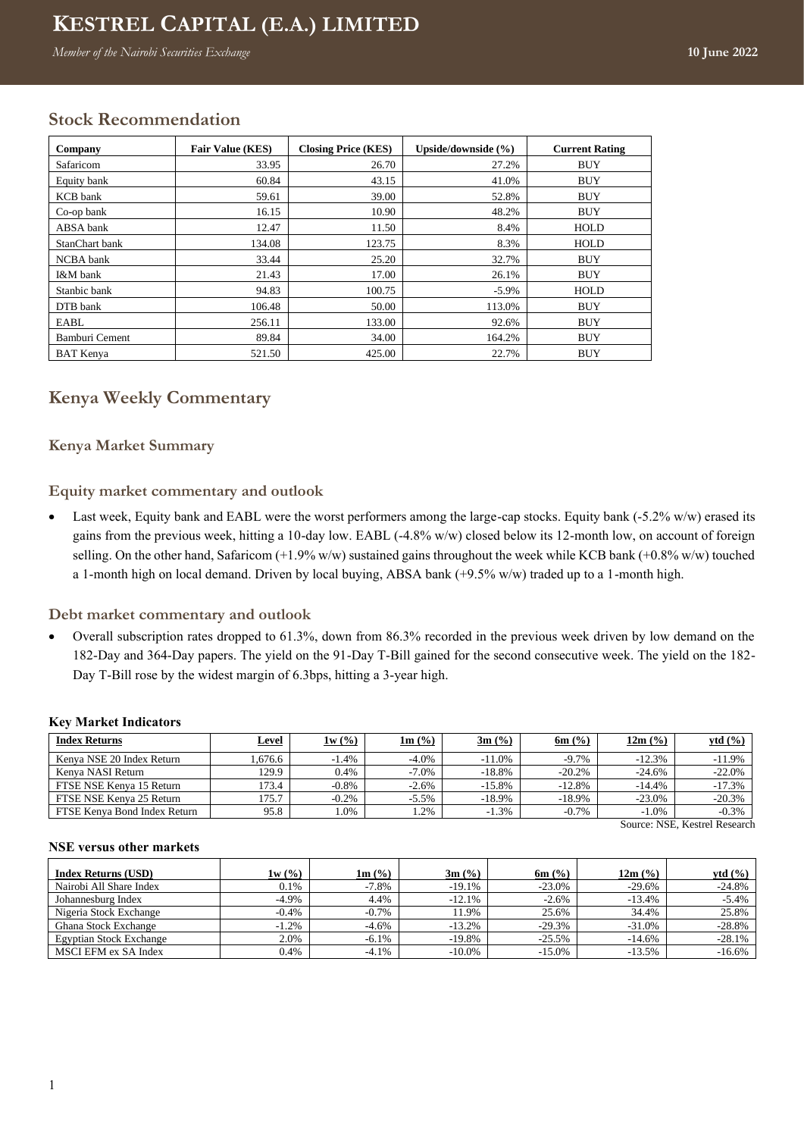# **Kenya Weekly Commentary KESTREL CAPITAL (E.A.) LIMITED**

*Member of the Nairobi Securities Exchange* **10 June 2022** 

# **Stock Recommendation**

| Company          | <b>Fair Value (KES)</b> | <b>Closing Price (KES)</b> | Upside/downside (%) | <b>Current Rating</b> |
|------------------|-------------------------|----------------------------|---------------------|-----------------------|
| Safaricom        | 33.95                   | 26.70                      | 27.2%               | <b>BUY</b>            |
| Equity bank      | 60.84                   | 43.15                      | 41.0%               | <b>BUY</b>            |
| <b>KCB</b> bank  | 59.61                   | 39.00                      | 52.8%               | <b>BUY</b>            |
| Co-op bank       | 16.15                   | 10.90                      | 48.2%               | <b>BUY</b>            |
| ABSA bank        | 12.47                   | 11.50                      | 8.4%                | <b>HOLD</b>           |
| StanChart bank   | 134.08                  | 123.75                     | 8.3%                | HOLD                  |
| NCBA bank        | 33.44                   | 25.20                      | 32.7%               | <b>BUY</b>            |
| I&M bank         | 21.43                   | 17.00                      | 26.1%               | <b>BUY</b>            |
| Stanbic bank     | 94.83                   | 100.75                     | $-5.9\%$            | <b>HOLD</b>           |
| DTB bank         | 106.48                  | 50.00                      | 113.0%              | <b>BUY</b>            |
| EABL             | 256.11                  | 133.00                     | 92.6%               | <b>BUY</b>            |
| Bamburi Cement   | 89.84                   | 34.00                      | 164.2%              | <b>BUY</b>            |
| <b>BAT</b> Kenva | 521.50                  | 425.00                     | 22.7%               | <b>BUY</b>            |

## **Kenya Weekly Commentary**

#### **Kenya Market Summary**

**Equity market commentary and outlook**

• Last week, Equity bank and EABL were the worst performers among the large-cap stocks. Equity bank (-5.2% w/w) erased its gains from the previous week, hitting a 10-day low. EABL (-4.8% w/w) closed below its 12-month low, on account of foreign selling. On the other hand, Safaricom (+1.9% w/w) sustained gains throughout the week while KCB bank (+0.8% w/w) touched a 1-month high on local demand. Driven by local buying, ABSA bank (+9.5% w/w) traded up to a 1-month high.

#### **Debt market commentary and outlook**

• Overall subscription rates dropped to 61.3%, down from 86.3% recorded in the previous week driven by low demand on the 182-Day and 364-Day papers. The yield on the 91-Day T-Bill gained for the second consecutive week. The yield on the 182- Day T-Bill rose by the widest margin of 6.3bps, hitting a 3-year high.

#### **Key Market Indicators**

| <b>Index Returns</b>         | Level  | 1w(%)    | $1m$ (%) | $3m$ (%)  | 6m $(%$   | 12m (%)   | ytd $(\frac{6}{6})$ |
|------------------------------|--------|----------|----------|-----------|-----------|-----------|---------------------|
| Kenva NSE 20 Index Return    | .676.6 | $-1.4%$  | $-4.0\%$ | $-11.0\%$ | $-9.7\%$  | $-12.3%$  | $-11.9\%$           |
| Kenya NASI Return            | 129.9  | 0.4%     | $-7.0%$  | $-18.8\%$ | $-20.2\%$ | $-24.6\%$ | $-22.0%$            |
| FTSE NSE Kenva 15 Return     | 73.4   | $-0.8%$  | $-2.6%$  | $-15.8\%$ | $-12.8%$  | $-14.4%$  | $-17.3%$            |
| FTSE NSE Kenya 25 Return     | 75.7   | $-0.2\%$ | $-5.5%$  | $-18.9\%$ | -18.9%    | $-23.0\%$ | $-20.3%$            |
| FTSE Kenva Bond Index Return | 95.8   | 0%       | $.2\%$   | $-1.3\%$  | $-0.7%$   | $-1.0%$   | $-0.3%$             |

#### **NSE versus other markets**

Source: NSE, Kestrel Research

| <b>Index Returns (USD)</b>     | 1w(%)    | $1m$ (%) | $3m$ (%)  | $6m$ (%) | 12m (%)  | ytd $(\% )$ |
|--------------------------------|----------|----------|-----------|----------|----------|-------------|
| Nairobi All Share Index        | 0.1%     | -7.8%    | $-19.1%$  | $-23.0%$ | $-29.6%$ | $-24.8%$    |
| Johannesburg Index             | $-4.9\%$ | 4.4%     | $-12.1%$  | $-2.6%$  | $-13.4%$ | $-5.4%$     |
| Nigeria Stock Exchange         | $-0.4%$  | $-0.7\%$ | 11.9%     | 25.6%    | 34.4%    | 25.8%       |
| Ghana Stock Exchange           | $-1.2\%$ | $-4.6\%$ | $-13.2\%$ | $-29.3%$ | $-31.0%$ | $-28.8%$    |
| <b>Egyptian Stock Exchange</b> | 2.0%     | $-6.1\%$ | $-19.8%$  | $-25.5%$ | $-14.6%$ | $-28.1%$    |
| MSCI EFM ex SA Index           | 0.4%     | $-4.1%$  | $-10.0\%$ | $-15.0%$ | $-13.5%$ | $-16.6%$    |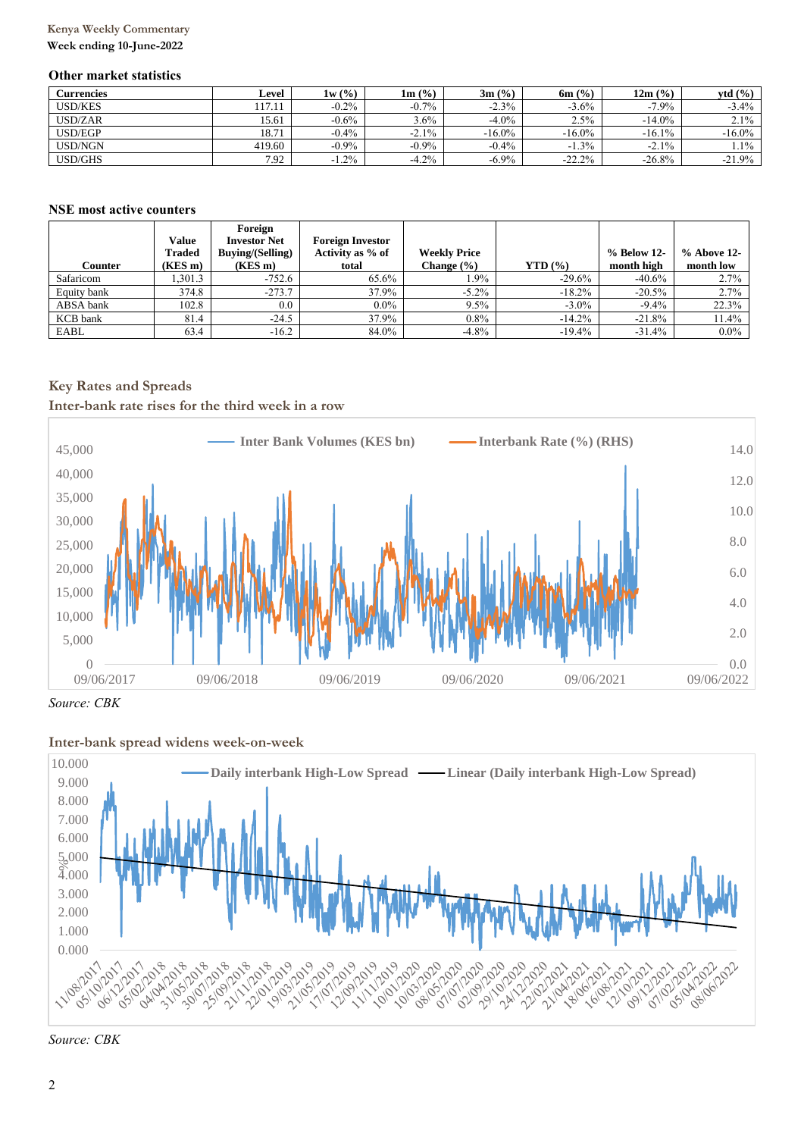## **Kenya Weekly Commentary**

#### **Week ending 10-June-2022**

#### **Other market statistics**

| Currencies     | Level  | 1w(%)    | $1m$ (%) | $3m$ (%)  | $6m$ (%)  | 12m (%)   | vtd(%)    |
|----------------|--------|----------|----------|-----------|-----------|-----------|-----------|
| <b>USD/KES</b> | 117.11 | $-0.2\%$ | $-0.7\%$ | $-2.3%$   | $-3.6\%$  | $-7.9\%$  | $-3.4\%$  |
| USD/ZAR        | 15.61  | $-0.6\%$ | $3.6\%$  | $-4.0\%$  | 2.5%      | $-14.0\%$ | $2.1\%$   |
| <b>USD/EGP</b> | 18.71  | $-0.4\%$ | $-2.1\%$ | $-16.0\%$ | $-16.0\%$ | $-16.1\%$ | $-16.0\%$ |
| <b>USD/NGN</b> | 419.60 | $-0.9\%$ | $-0.9\%$ | $-0.4%$   | $-1.3\%$  | $-2.1%$   | 1.1%      |
| <b>USD/GHS</b> | 7.92   | $-1.2\%$ | $-4.2%$  | $-6.9\%$  | $-22.2%$  | $-26.8%$  | $-21.9%$  |

#### **NSE most active counters**

|             | Value   | Foreign<br><b>Investor Net</b> | <b>Foreign Investor</b> |                     |              |             |               |
|-------------|---------|--------------------------------|-------------------------|---------------------|--------------|-------------|---------------|
|             | Traded  | <b>Buying/(Selling)</b>        | Activity as % of        | <b>Weekly Price</b> |              | % Below 12- | $%$ Above 12- |
| Counter     | (KES m) | $(KES \, m)$                   | total                   | Change $(\% )$      | $YTD($ % $)$ | month high  | month low     |
| Safaricom   | .301.3  | $-752.6$                       | 65.6%                   | 1.9%                | $-29.6%$     | $-40.6%$    | 2.7%          |
| Equity bank | 374.8   | $-273.7$                       | 37.9%                   | $-5.2\%$            | $-18.2\%$    | $-20.5%$    | 2.7%          |
| ABSA bank   | 102.8   | 0.0                            | $0.0\%$                 | 9.5%                | $-3.0\%$     | $-9.4%$     | 22.3%         |
| KCB bank    | 81.4    | $-24.5$                        | 37.9%                   | $0.8\%$             | $-14.2%$     | $-21.8%$    | 11.4%         |
| EABL        | 63.4    | $-16.2$                        | 84.0%                   | $-4.8\%$            | $-19.4%$     | $-31.4%$    | $0.0\%$       |

## **Key Rates and Spreads**

**Inter-bank rate rises for the third week in a row**



*Source: CBK*

#### **Inter-bank spread widens week-on-week**



*Source: CBK*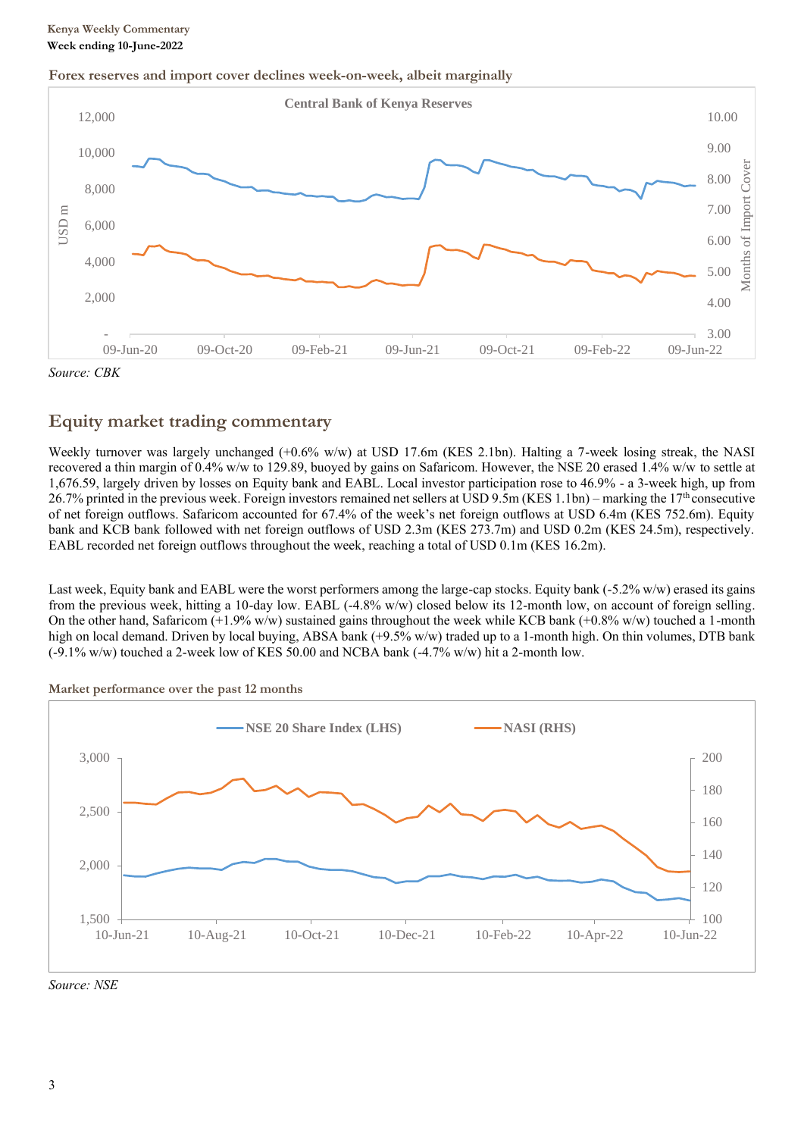## **Kenya Weekly Commentary Week ending 10-June-2022**

#### **Forex reserves and import cover declines week-on-week, albeit marginally**



*Source: CBK*

# **Equity market trading commentary**

Weekly turnover was largely unchanged (+0.6% w/w) at USD 17.6m (KES 2.1bn). Halting a 7-week losing streak, the NASI recovered a thin margin of 0.4% w/w to 129.89, buoyed by gains on Safaricom. However, the NSE 20 erased 1.4% w/w to settle at 1,676.59, largely driven by losses on Equity bank and EABL. Local investor participation rose to 46.9% - a 3-week high, up from 26.7% printed in the previous week. Foreign investors remained net sellers at USD 9.5m (KES 1.1bn) – marking the 17<sup>th</sup> consecutive of net foreign outflows. Safaricom accounted for 67.4% of the week's net foreign outflows at USD 6.4m (KES 752.6m). Equity bank and KCB bank followed with net foreign outflows of USD 2.3m (KES 273.7m) and USD 0.2m (KES 24.5m), respectively. EABL recorded net foreign outflows throughout the week, reaching a total of USD 0.1m (KES 16.2m).

Last week, Equity bank and EABL were the worst performers among the large-cap stocks. Equity bank (-5.2% w/w) erased its gains from the previous week, hitting a 10-day low. EABL (-4.8% w/w) closed below its 12-month low, on account of foreign selling. On the other hand, Safaricom  $(+1.9\%$  w/w) sustained gains throughout the week while KCB bank  $(+0.8\%$  w/w) touched a 1-month high on local demand. Driven by local buying, ABSA bank (+9.5% w/w) traded up to a 1-month high. On thin volumes, DTB bank  $(-9.1\%$  w/w) touched a 2-week low of KES 50.00 and NCBA bank  $(-4.7\%$  w/w) hit a 2-month low.



**Market performance over the past 12 months**

*Source: NSE*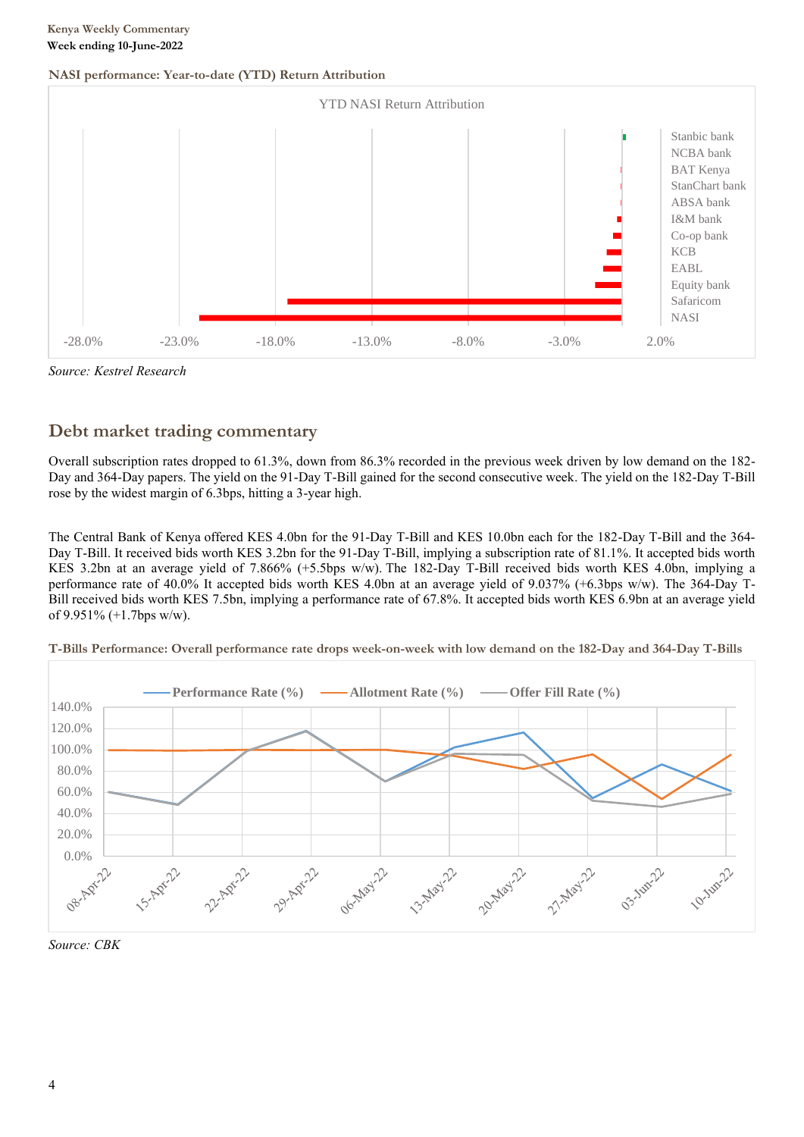#### **NASI performance: Year-to-date (YTD) Return Attribution**





# **Debt market trading commentary**

Overall subscription rates dropped to 61.3%, down from 86.3% recorded in the previous week driven by low demand on the 182- Day and 364-Day papers. The yield on the 91-Day T-Bill gained for the second consecutive week. The yield on the 182-Day T-Bill rose by the widest margin of 6.3bps, hitting a 3-year high.

The Central Bank of Kenya offered KES 4.0bn for the 91-Day T-Bill and KES 10.0bn each for the 182-Day T-Bill and the 364- Day T-Bill. It received bids worth KES 3.2bn for the 91-Day T-Bill, implying a subscription rate of 81.1%. It accepted bids worth KES 3.2bn at an average yield of 7.866% (+5.5bps w/w). The 182-Day T-Bill received bids worth KES 4.0bn, implying a performance rate of 40.0% It accepted bids worth KES 4.0bn at an average yield of 9.037% (+6.3bps w/w). The 364-Day T-Bill received bids worth KES 7.5bn, implying a performance rate of 67.8%. It accepted bids worth KES 6.9bn at an average yield of 9.951% (+1.7bps w/w).



**T-Bills Performance: Overall performance rate drops week-on-week with low demand on the 182-Day and 364-Day T-Bills**

*Source: CBK*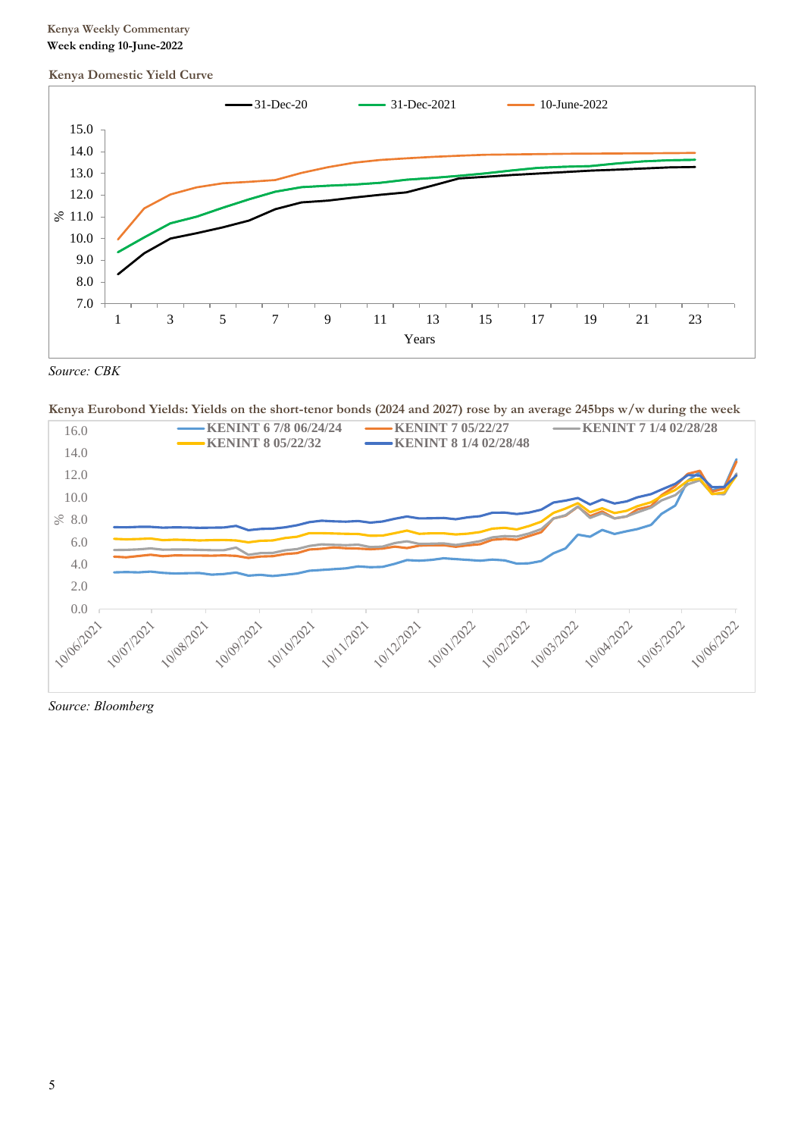### **Kenya Weekly Commentary Week ending 10-June-2022**

#### **Kenya Domestic Yield Curve**



*Source: CBK*

**Kenya Eurobond Yields: Yields on the short-tenor bonds (2024 and 2027) rose by an average 245bps w/w during the week**



*Source: Bloomberg*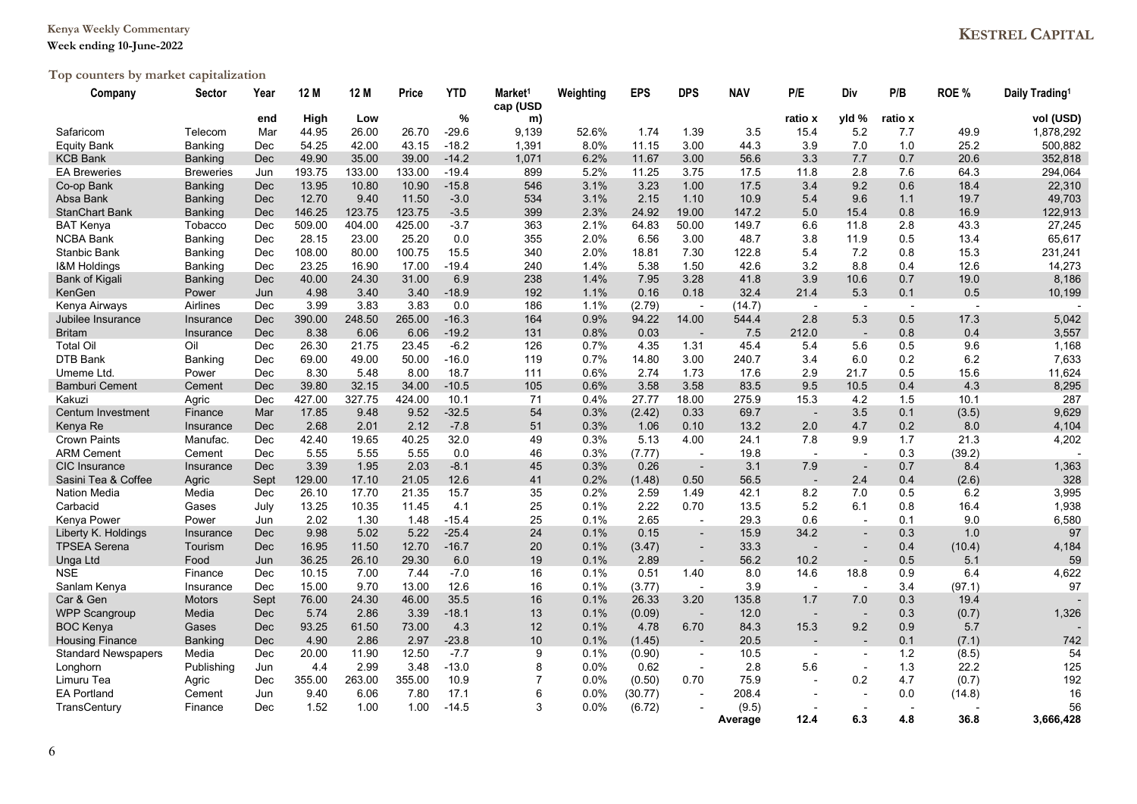## **Kenya Weekly Commentary**

#### **Week ending 10-June-2022**

# **Top counters by market capitalization**

| Company                    | Sector           | Year | 12 M   | 12 M   | Price  | <b>YTD</b> | Market <sup>1</sup><br>cap (USD | Weighting | <b>EPS</b> | <b>DPS</b>               | <b>NAV</b> | P/E                      | Div                      | P/B                      | ROE %  | Daily Trading <sup>1</sup> |
|----------------------------|------------------|------|--------|--------|--------|------------|---------------------------------|-----------|------------|--------------------------|------------|--------------------------|--------------------------|--------------------------|--------|----------------------------|
|                            |                  | end  | High   | Low    |        | %          | m)                              |           |            |                          |            | ratio x                  | yld %                    | ratio x                  |        | vol (USD)                  |
| Safaricom                  | Telecom          | Mar  | 44.95  | 26.00  | 26.70  | $-29.6$    | 9,139                           | 52.6%     | 1.74       | 1.39                     | 3.5        | 15.4                     | 5.2                      | 7.7                      | 49.9   | 1,878,292                  |
| <b>Equity Bank</b>         | Banking          | Dec  | 54.25  | 42.00  | 43.15  | $-18.2$    | 1,391                           | 8.0%      | 11.15      | 3.00                     | 44.3       | 3.9                      | 7.0                      | 1.0                      | 25.2   | 500,882                    |
| <b>KCB Bank</b>            | <b>Banking</b>   | Dec  | 49.90  | 35.00  | 39.00  | $-14.2$    | 1,071                           | 6.2%      | 11.67      | 3.00                     | 56.6       | 3.3                      | 7.7                      | 0.7                      | 20.6   | 352,818                    |
| <b>EA Breweries</b>        | <b>Breweries</b> | Jun  | 193.75 | 133.00 | 133.00 | $-19.4$    | 899                             | 5.2%      | 11.25      | 3.75                     | 17.5       | 11.8                     | 2.8                      | 7.6                      | 64.3   | 294,064                    |
| Co-op Bank                 | <b>Banking</b>   | Dec  | 13.95  | 10.80  | 10.90  | $-15.8$    | 546                             | 3.1%      | 3.23       | 1.00                     | 17.5       | 3.4                      | 9.2                      | 0.6                      | 18.4   | 22,310                     |
| Absa Bank                  | Banking          | Dec  | 12.70  | 9.40   | 11.50  | $-3.0$     | 534                             | 3.1%      | 2.15       | 1.10                     | 10.9       | 5.4                      | 9.6                      | 1.1                      | 19.7   | 49,703                     |
| <b>StanChart Bank</b>      | <b>Banking</b>   | Dec  | 146.25 | 123.75 | 123.75 | $-3.5$     | 399                             | 2.3%      | 24.92      | 19.00                    | 147.2      | 5.0                      | 15.4                     | 0.8                      | 16.9   | 122,913                    |
| <b>BAT Kenya</b>           | Tobacco          | Dec  | 509.00 | 404.00 | 425.00 | $-3.7$     | 363                             | 2.1%      | 64.83      | 50.00                    | 149.7      | 6.6                      | 11.8                     | 2.8                      | 43.3   | 27,245                     |
| <b>NCBA Bank</b>           | <b>Banking</b>   | Dec  | 28.15  | 23.00  | 25.20  | 0.0        | 355                             | 2.0%      | 6.56       | 3.00                     | 48.7       | 3.8                      | 11.9                     | 0.5                      | 13.4   | 65,617                     |
| Stanbic Bank               | Banking          | Dec  | 108.00 | 80.00  | 100.75 | 15.5       | 340                             | 2.0%      | 18.81      | 7.30                     | 122.8      | 5.4                      | 7.2                      | 0.8                      | 15.3   | 231,241                    |
| <b>I&amp;M Holdings</b>    | Banking          | Dec  | 23.25  | 16.90  | 17.00  | $-19.4$    | 240                             | 1.4%      | 5.38       | 1.50                     | 42.6       | 3.2                      | 8.8                      | 0.4                      | 12.6   | 14,273                     |
| Bank of Kigali             | <b>Banking</b>   | Dec  | 40.00  | 24.30  | 31.00  | 6.9        | 238                             | 1.4%      | 7.95       | 3.28                     | 41.8       | 3.9                      | 10.6                     | 0.7                      | 19.0   | 8,186                      |
| KenGen                     | Power            | Jun  | 4.98   | 3.40   | 3.40   | $-18.9$    | 192                             | 1.1%      | 0.16       | 0.18                     | 32.4       | 21.4                     | 5.3                      | 0.1                      | 0.5    | 10,199                     |
| Kenya Airways              | Airlines         | Dec  | 3.99   | 3.83   | 3.83   | 0.0        | 186                             | 1.1%      | (2.79)     | $\overline{\phantom{a}}$ | (14.7)     | $\overline{\phantom{0}}$ | $\sim$                   | $\overline{\phantom{a}}$ |        |                            |
| Jubilee Insurance          | Insurance        | Dec  | 390.00 | 248.50 | 265.00 | $-16.3$    | 164                             | 0.9%      | 94.22      | 14.00                    | 544.4      | 2.8                      | 5.3                      | 0.5                      | 17.3   | 5,042                      |
| <b>Britam</b>              | Insurance        | Dec  | 8.38   | 6.06   | 6.06   | $-19.2$    | 131                             | 0.8%      | 0.03       | $\sim$                   | 7.5        | 212.0                    | $\overline{\phantom{a}}$ | 0.8                      | 0.4    | 3,557                      |
| <b>Total Oil</b>           | Oil              | Dec  | 26.30  | 21.75  | 23.45  | $-6.2$     | 126                             | 0.7%      | 4.35       | 1.31                     | 45.4       | 5.4                      | 5.6                      | 0.5                      | 9.6    | 1,168                      |
| DTB Bank                   | Banking          | Dec  | 69.00  | 49.00  | 50.00  | $-16.0$    | 119                             | 0.7%      | 14.80      | 3.00                     | 240.7      | 3.4                      | 6.0                      | 0.2                      | 6.2    | 7,633                      |
| Umeme Ltd.                 | Power            | Dec  | 8.30   | 5.48   | 8.00   | 18.7       | 111                             | 0.6%      | 2.74       | 1.73                     | 17.6       | 2.9                      | 21.7                     | 0.5                      | 15.6   | 11,624                     |
| <b>Bamburi Cement</b>      | Cement           | Dec  | 39.80  | 32.15  | 34.00  | $-10.5$    | 105                             | 0.6%      | 3.58       | 3.58                     | 83.5       | 9.5                      | 10.5                     | 0.4                      | 4.3    | 8,295                      |
| Kakuzi                     | Agric            | Dec  | 427.00 | 327.75 | 424.00 | 10.1       | 71                              | 0.4%      | 27.77      | 18.00                    | 275.9      | 15.3                     | 4.2                      | 1.5                      | 10.1   | 287                        |
| Centum Investment          | Finance          | Mar  | 17.85  | 9.48   | 9.52   | $-32.5$    | 54                              | 0.3%      | (2.42)     | 0.33                     | 69.7       |                          | 3.5                      | 0.1                      | (3.5)  | 9,629                      |
| Kenya Re                   | Insurance        | Dec  | 2.68   | 2.01   | 2.12   | $-7.8$     | 51                              | 0.3%      | 1.06       | 0.10                     | 13.2       | 2.0                      | 4.7                      | 0.2                      | 8.0    | 4,104                      |
| <b>Crown Paints</b>        | Manufac.         | Dec  | 42.40  | 19.65  | 40.25  | 32.0       | 49                              | 0.3%      | 5.13       | 4.00                     | 24.1       | 7.8                      | 9.9                      | 1.7                      | 21.3   | 4,202                      |
| <b>ARM Cement</b>          | Cement           | Dec  | 5.55   | 5.55   | 5.55   | 0.0        | 46                              | 0.3%      | (7.77)     | $\sim$                   | 19.8       | $\overline{a}$           | $\sim$                   | 0.3                      | (39.2) |                            |
| <b>CIC</b> Insurance       | Insurance        | Dec  | 3.39   | 1.95   | 2.03   | $-8.1$     | 45                              | 0.3%      | 0.26       |                          | 3.1        | 7.9                      | $\overline{\phantom{a}}$ | 0.7                      | 8.4    | 1,363                      |
| Sasini Tea & Coffee        | Agric            | Sept | 129.00 | 17.10  | 21.05  | 12.6       | 41                              | 0.2%      | (1.48)     | 0.50                     | 56.5       |                          | 2.4                      | 0.4                      | (2.6)  | 328                        |
| <b>Nation Media</b>        | Media            | Dec  | 26.10  | 17.70  | 21.35  | 15.7       | 35                              | 0.2%      | 2.59       | 1.49                     | 42.1       | 8.2                      | 7.0                      | 0.5                      | 6.2    | 3,995                      |
| Carbacid                   | Gases            | July | 13.25  | 10.35  | 11.45  | 4.1        | 25                              | 0.1%      | 2.22       | 0.70                     | 13.5       | 5.2                      | 6.1                      | 0.8                      | 16.4   | 1,938                      |
| Kenya Power                | Power            | Jun  | 2.02   | 1.30   | 1.48   | $-15.4$    | 25                              | 0.1%      | 2.65       | $\overline{\phantom{a}}$ | 29.3       | 0.6                      | $\overline{a}$           | 0.1                      | 9.0    | 6,580                      |
| Liberty K. Holdings        | Insurance        | Dec  | 9.98   | 5.02   | 5.22   | $-25.4$    | 24                              | 0.1%      | 0.15       | $\overline{\phantom{a}}$ | 15.9       | 34.2                     | ÷,                       | 0.3                      | 1.0    | 97                         |
| <b>TPSEA Serena</b>        | Tourism          | Dec  | 16.95  | 11.50  | 12.70  | $-16.7$    | 20                              | 0.1%      | (3.47)     | $\blacksquare$           | 33.3       |                          | $\blacksquare$           | 0.4                      | (10.4) | 4,184                      |
| Unga Ltd                   | Food             | Jun  | 36.25  | 26.10  | 29.30  | 6.0        | 19                              | 0.1%      | 2.89       | $\overline{a}$           | 56.2       | 10.2                     | $\blacksquare$           | 0.5                      | 5.1    | 59                         |
| NSE                        | Finance          | Dec  | 10.15  | 7.00   | 7.44   | $-7.0$     | 16                              | 0.1%      | 0.51       | 1.40                     | 8.0        | 14.6                     | 18.8                     | 0.9                      | 6.4    | 4,622                      |
| Sanlam Kenya               | Insurance        | Dec  | 15.00  | 9.70   | 13.00  | 12.6       | 16                              | 0.1%      | (3.77)     | $\overline{\phantom{a}}$ | 3.9        | $\sim$                   | $\overline{\phantom{a}}$ | 3.4                      | (97.1) | 97                         |
| Car & Gen                  | <b>Motors</b>    | Sept | 76.00  | 24.30  | 46.00  | 35.5       | 16                              | 0.1%      | 26.33      | 3.20                     | 135.8      | 1.7                      | 7.0                      | 0.3                      | 19.4   |                            |
| <b>WPP Scangroup</b>       | Media            | Dec  | 5.74   | 2.86   | 3.39   | $-18.1$    | 13                              | 0.1%      | (0.09)     | $\overline{\phantom{a}}$ | 12.0       |                          | ÷,                       | 0.3                      | (0.7)  | 1,326                      |
| <b>BOC Kenya</b>           | Gases            | Dec  | 93.25  | 61.50  | 73.00  | 4.3        | 12                              | 0.1%      | 4.78       | 6.70                     | 84.3       | 15.3                     | 9.2                      | 0.9                      | 5.7    |                            |
| <b>Housing Finance</b>     | <b>Banking</b>   | Dec  | 4.90   | 2.86   | 2.97   | $-23.8$    | 10                              | 0.1%      | (1.45)     |                          | 20.5       |                          | $\overline{a}$           | 0.1                      | (7.1)  | 742                        |
| <b>Standard Newspapers</b> | Media            | Dec  | 20.00  | 11.90  | 12.50  | $-7.7$     | 9                               | 0.1%      | (0.90)     | $\overline{\phantom{a}}$ | 10.5       |                          | $\overline{a}$           | 1.2                      | (8.5)  | 54                         |
| Longhorn                   | Publishing       | Jun  | 4.4    | 2.99   | 3.48   | $-13.0$    | 8                               | 0.0%      | 0.62       | $\overline{\phantom{a}}$ | 2.8        | 5.6                      | $\blacksquare$           | 1.3                      | 22.2   | 125                        |
| Limuru Tea                 | Agric            | Dec  | 355.00 | 263.00 | 355.00 | 10.9       | 7                               | 0.0%      | (0.50)     | 0.70                     | 75.9       |                          | 0.2                      | 4.7                      | (0.7)  | 192                        |
| <b>EA Portland</b>         | Cement           | Jun  | 9.40   | 6.06   | 7.80   | 17.1       | 6                               | 0.0%      | (30.77)    |                          | 208.4      |                          | $\sim$                   | 0.0                      | (14.8) | 16                         |
| TransCentury               | Finance          | Dec  | 1.52   | 1.00   | 1.00   | $-14.5$    | 3                               | $0.0\%$   | (6.72)     |                          | (9.5)      |                          | $\overline{a}$           | $\overline{\phantom{a}}$ |        | 56                         |
|                            |                  |      |        |        |        |            |                                 |           |            |                          | Average    | 12.4                     | 6.3                      | 4.8                      | 36.8   | 3,666,428                  |

# **KESTREL CAPITAL**